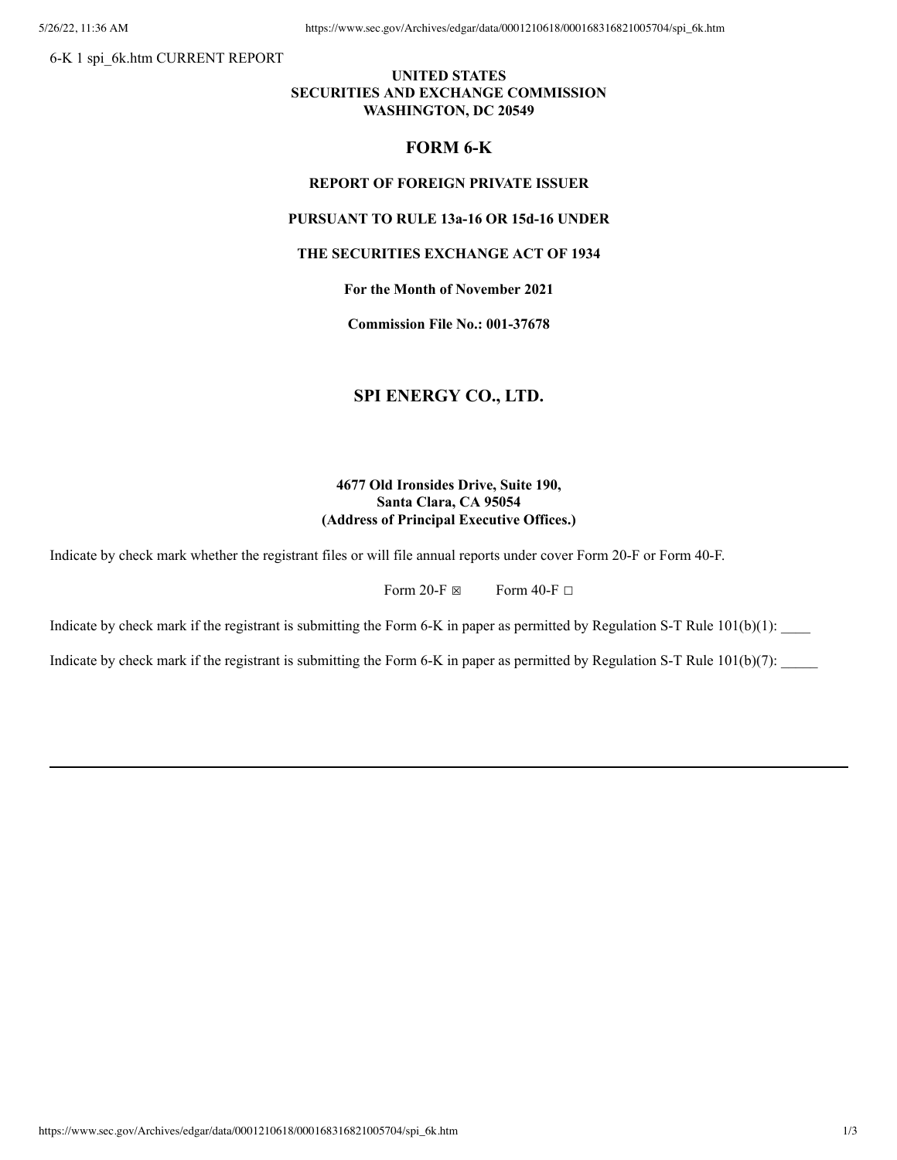6-K 1 spi\_6k.htm CURRENT REPORT

## **UNITED STATES SECURITIES AND EXCHANGE COMMISSION WASHINGTON, DC 20549**

## **FORM 6-K**

### **REPORT OF FOREIGN PRIVATE ISSUER**

# **PURSUANT TO RULE 13a-16 OR 15d-16 UNDER**

## **THE SECURITIES EXCHANGE ACT OF 1934**

**For the Month of November 2021**

**Commission File No.: 001-37678**

# **SPI ENERGY CO., LTD.**

# **4677 Old Ironsides Drive, Suite 190, Santa Clara, CA 95054 (Address of Principal Executive Offices.)**

Indicate by check mark whether the registrant files or will file annual reports under cover Form 20-F or Form 40-F.

Form 20-F  $\boxtimes$  Form 40-F  $\Box$ 

Indicate by check mark if the registrant is submitting the Form 6-K in paper as permitted by Regulation S-T Rule  $101(b)(1)$ :

Indicate by check mark if the registrant is submitting the Form 6-K in paper as permitted by Regulation S-T Rule  $101(b)(7)$ :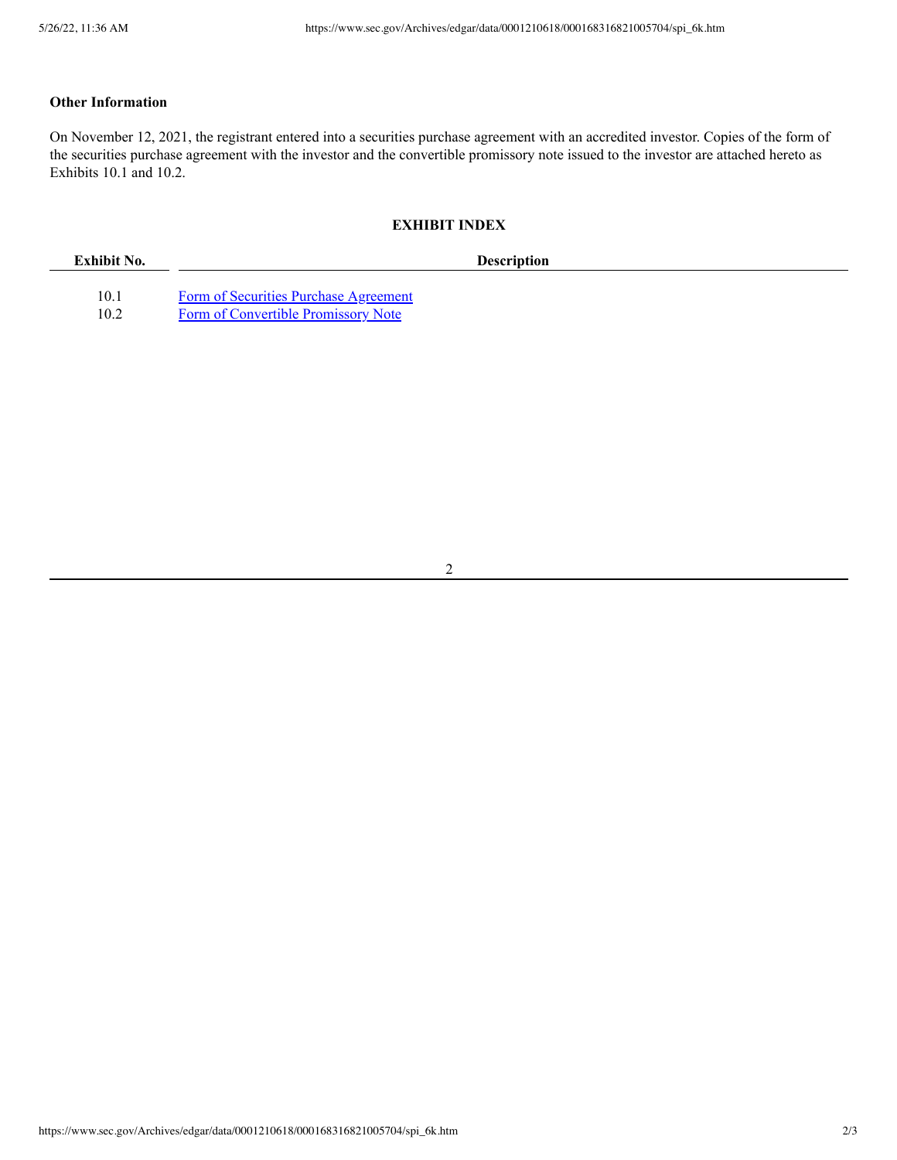# **Other Information**

On November 12, 2021, the registrant entered into a securities purchase agreement with an accredited investor. Copies of the form of the securities purchase agreement with the investor and the convertible promissory note issued to the investor are attached hereto as Exhibits 10.1 and 10.2.

#### **EXHIBIT INDEX**

| Exhibit No. | <b>Description</b>                    |  |
|-------------|---------------------------------------|--|
|             |                                       |  |
| 10.1        | Form of Securities Purchase Agreement |  |
| 10.2        | Form of Convertible Promissory Note   |  |

2